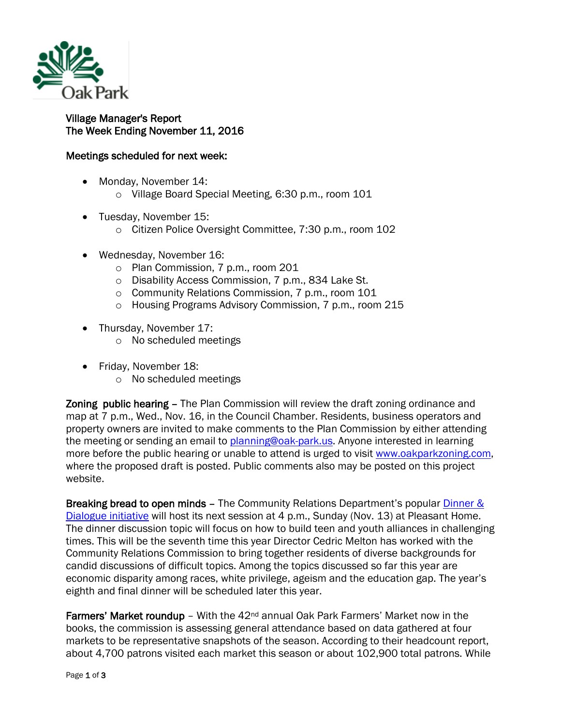

## Village Manager's Report The Week Ending November 11, 2016

## Meetings scheduled for next week:

- Monday, November 14:
	- o Village Board Special Meeting, 6:30 p.m., room 101
- Tuesday, November 15:
	- o Citizen Police Oversight Committee, 7:30 p.m., room 102
- Wednesday, November 16:
	- o Plan Commission, 7 p.m., room 201
	- o Disability Access Commission, 7 p.m., 834 Lake St.
	- o Community Relations Commission, 7 p.m., room 101
	- o Housing Programs Advisory Commission, 7 p.m., room 215
- Thursday, November 17:
	- o No scheduled meetings
- Friday, November 18:
	- o No scheduled meetings

Zoning public hearing – The Plan Commission will review the draft zoning ordinance and map at 7 p.m., Wed., Nov. 16, in the Council Chamber. Residents, business operators and property owners are invited to make comments to the Plan Commission by either attending the meeting or sending an email to [planning@oak-park.us.](mailto:planning@oak-park.us) Anyone interested in learning more before the public hearing or unable to attend is urged to visit [www.oakparkzoning.com,](http://www.oakparkzoning.com/) where the proposed draft is posted. Public comments also may be posted on this project website.

Breaking bread to open minds - The Community Relations Department's popular *Dinner &* [Dialogue initiative](http://www.oak-park.us/our-community/community-relations/dinner-dialogue) will host its next session at 4 p.m., Sunday (Nov. 13) at Pleasant Home. The dinner discussion topic will focus on how to build teen and youth alliances in challenging times. This will be the seventh time this year Director Cedric Melton has worked with the Community Relations Commission to bring together residents of diverse backgrounds for candid discussions of difficult topics. Among the topics discussed so far this year are economic disparity among races, white privilege, ageism and the education gap. The year's eighth and final dinner will be scheduled later this year.

**Farmers' Market roundup** – With the  $42<sup>nd</sup>$  annual Oak Park Farmers' Market now in the books, the commission is assessing general attendance based on data gathered at four markets to be representative snapshots of the season. According to their headcount report, about 4,700 patrons visited each market this season or about 102,900 total patrons. While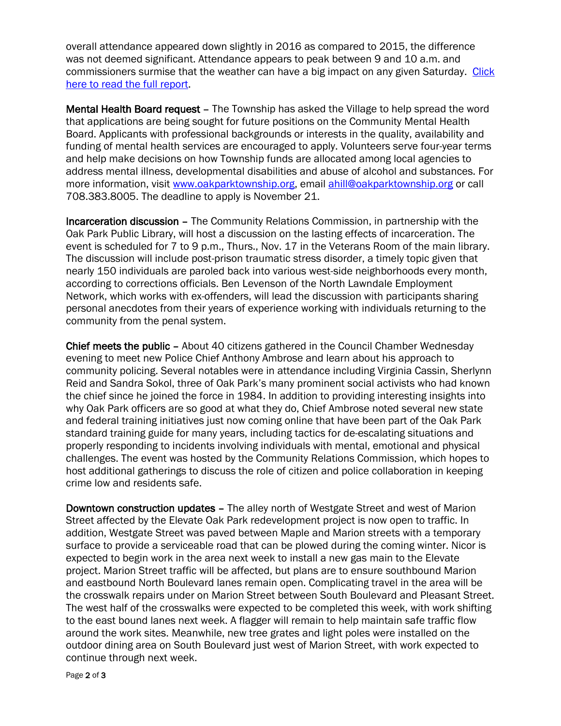overall attendance appeared down slightly in 2016 as compared to 2015, the difference was not deemed significant. Attendance appears to peak between 9 and 10 a.m. and commissioners surmise that the weather can have a big impact on any given Saturday. [Click](http://www.oak-park.us/sites/default/files/456678891/2016-farmers-market-attendance-report.pdf)  [here to read the full report.](http://www.oak-park.us/sites/default/files/456678891/2016-farmers-market-attendance-report.pdf)

Mental Health Board request – The Township has asked the Village to help spread the word that applications are being sought for future positions on the Community Mental Health Board. Applicants with professional backgrounds or interests in the quality, availability and funding of mental health services are encouraged to apply. Volunteers serve four-year terms and help make decisions on how Township funds are allocated among local agencies to address mental illness, developmental disabilities and abuse of alcohol and substances. For more information, visit [www.oakparktownship.org,](http://www.oakparktownship.org/) email [ahill@oakparktownship.org](mailto:ahill@oakparktownship.org) or call 708.383.8005. The deadline to apply is November 21.

Incarceration discussion – The Community Relations Commission, in partnership with the Oak Park Public Library, will host a discussion on the lasting effects of incarceration. The event is scheduled for 7 to 9 p.m., Thurs., Nov. 17 in the Veterans Room of the main library. The discussion will include post-prison traumatic stress disorder, a timely topic given that nearly 150 individuals are paroled back into various west-side neighborhoods every month, according to corrections officials. Ben Levenson of the North Lawndale Employment Network, which works with ex-offenders, will lead the discussion with participants sharing personal anecdotes from their years of experience working with individuals returning to the community from the penal system.

Chief meets the public – About 40 citizens gathered in the Council Chamber Wednesday evening to meet new Police Chief Anthony Ambrose and learn about his approach to community policing. Several notables were in attendance including Virginia Cassin, Sherlynn Reid and Sandra Sokol, three of Oak Park's many prominent social activists who had known the chief since he joined the force in 1984. In addition to providing interesting insights into why Oak Park officers are so good at what they do, Chief Ambrose noted several new state and federal training initiatives just now coming online that have been part of the Oak Park standard training guide for many years, including tactics for de-escalating situations and properly responding to incidents involving individuals with mental, emotional and physical challenges. The event was hosted by the Community Relations Commission, which hopes to host additional gatherings to discuss the role of citizen and police collaboration in keeping crime low and residents safe.

Downtown construction updates – The alley north of Westgate Street and west of Marion Street affected by the Elevate Oak Park redevelopment project is now open to traffic. In addition, Westgate Street was paved between Maple and Marion streets with a temporary surface to provide a serviceable road that can be plowed during the coming winter. Nicor is expected to begin work in the area next week to install a new gas main to the Elevate project. Marion Street traffic will be affected, but plans are to ensure southbound Marion and eastbound North Boulevard lanes remain open. Complicating travel in the area will be the crosswalk repairs under on Marion Street between South Boulevard and Pleasant Street. The west half of the crosswalks were expected to be completed this week, with work shifting to the east bound lanes next week. A flagger will remain to help maintain safe traffic flow around the work sites. Meanwhile, new tree grates and light poles were installed on the outdoor dining area on South Boulevard just west of Marion Street, with work expected to continue through next week.